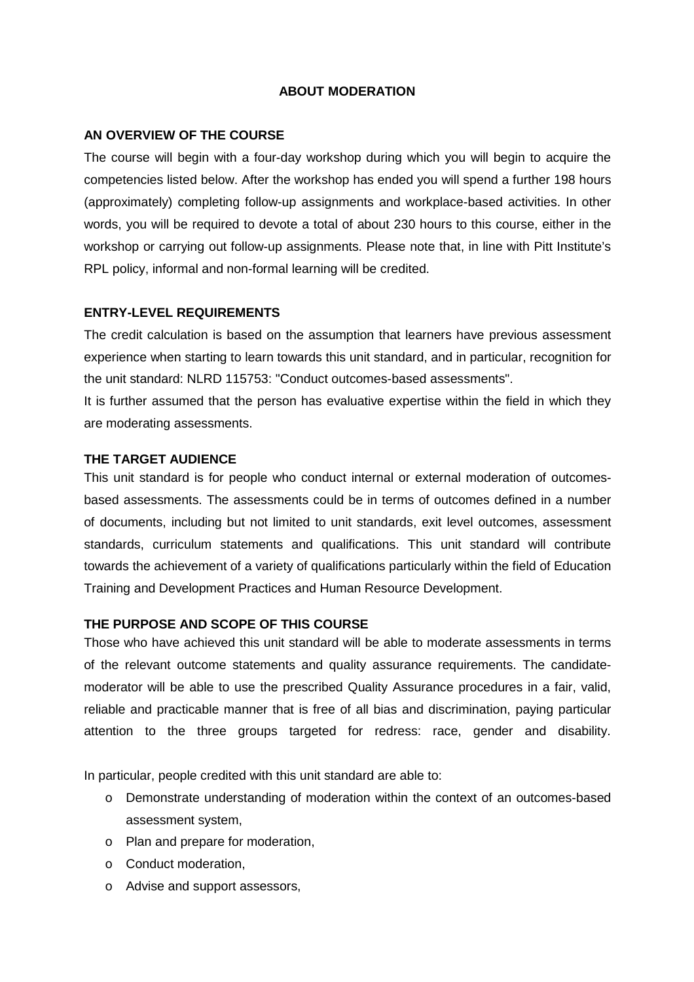# **ABOUT MODERATION**

# **AN OVERVIEW OF THE COURSE**

The course will begin with a four-day workshop during which you will begin to acquire the competencies listed below. After the workshop has ended you will spend a further 198 hours (approximately) completing follow-up assignments and workplace-based activities. In other words, you will be required to devote a total of about 230 hours to this course, either in the workshop or carrying out follow-up assignments. Please note that, in line with Pitt Institute's RPL policy, informal and non-formal learning will be credited.

# **ENTRY-LEVEL REQUIREMENTS**

The credit calculation is based on the assumption that learners have previous assessment experience when starting to learn towards this unit standard, and in particular, recognition for the unit standard: NLRD 115753: "Conduct outcomes-based assessments".

It is further assumed that the person has evaluative expertise within the field in which they are moderating assessments.

## **THE TARGET AUDIENCE**

This unit standard is for people who conduct internal or external moderation of outcomesbased assessments. The assessments could be in terms of outcomes defined in a number of documents, including but not limited to unit standards, exit level outcomes, assessment standards, curriculum statements and qualifications. This unit standard will contribute towards the achievement of a variety of qualifications particularly within the field of Education Training and Development Practices and Human Resource Development.

## **THE PURPOSE AND SCOPE OF THIS COURSE**

Those who have achieved this unit standard will be able to moderate assessments in terms of the relevant outcome statements and quality assurance requirements. The candidatemoderator will be able to use the prescribed Quality Assurance procedures in a fair, valid, reliable and practicable manner that is free of all bias and discrimination, paying particular attention to the three groups targeted for redress: race, gender and disability.

In particular, people credited with this unit standard are able to:

- o Demonstrate understanding of moderation within the context of an outcomes-based assessment system,
- o Plan and prepare for moderation,
- o Conduct moderation,
- o Advise and support assessors,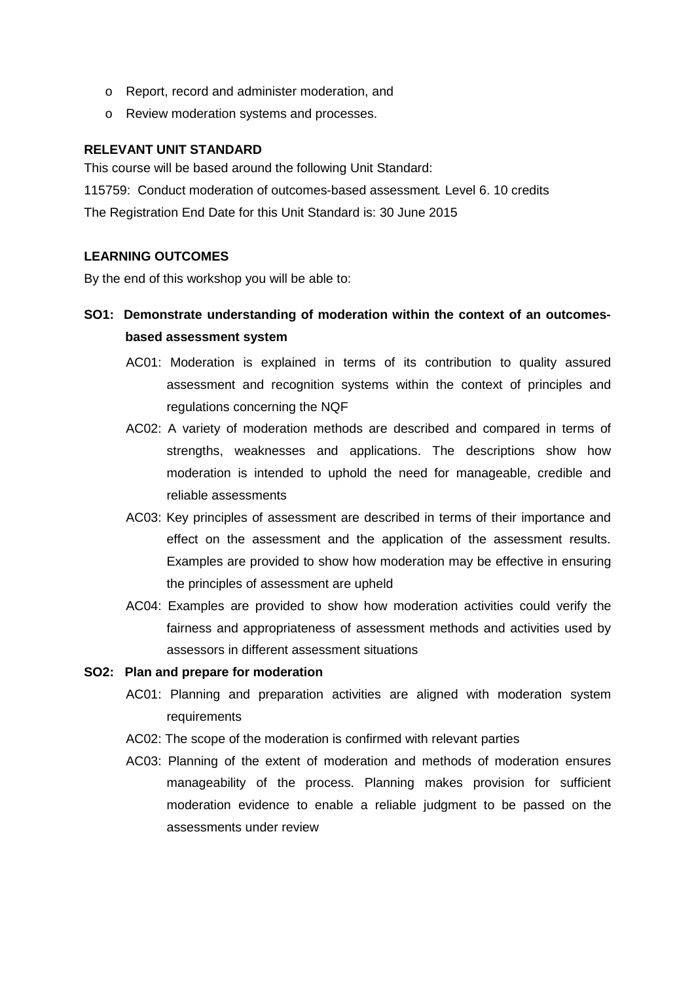- o Report, record and administer moderation, and
- o Review moderation systems and processes.

# **RELEVANT UNIT STANDARD**

This course will be based around the following Unit Standard: 115759: Conduct moderation of outcomes-based assessment*.* Level 6. 10 credits The Registration End Date for this Unit Standard is: 30 June 2015

# **LEARNING OUTCOMES**

By the end of this workshop you will be able to:

# **SO1: Demonstrate understanding of moderation within the context of an outcomesbased assessment system**

- AC01: Moderation is explained in terms of its contribution to quality assured assessment and recognition systems within the context of principles and regulations concerning the NQF
- AC02: A variety of moderation methods are described and compared in terms of strengths, weaknesses and applications. The descriptions show how moderation is intended to uphold the need for manageable, credible and reliable assessments
- AC03: Key principles of assessment are described in terms of their importance and effect on the assessment and the application of the assessment results. Examples are provided to show how moderation may be effective in ensuring the principles of assessment are upheld
- AC04: Examples are provided to show how moderation activities could verify the fairness and appropriateness of assessment methods and activities used by assessors in different assessment situations

## **SO2: Plan and prepare for moderation**

- AC01: Planning and preparation activities are aligned with moderation system requirements
- AC02: The scope of the moderation is confirmed with relevant parties
- AC03: Planning of the extent of moderation and methods of moderation ensures manageability of the process. Planning makes provision for sufficient moderation evidence to enable a reliable judgment to be passed on the assessments under review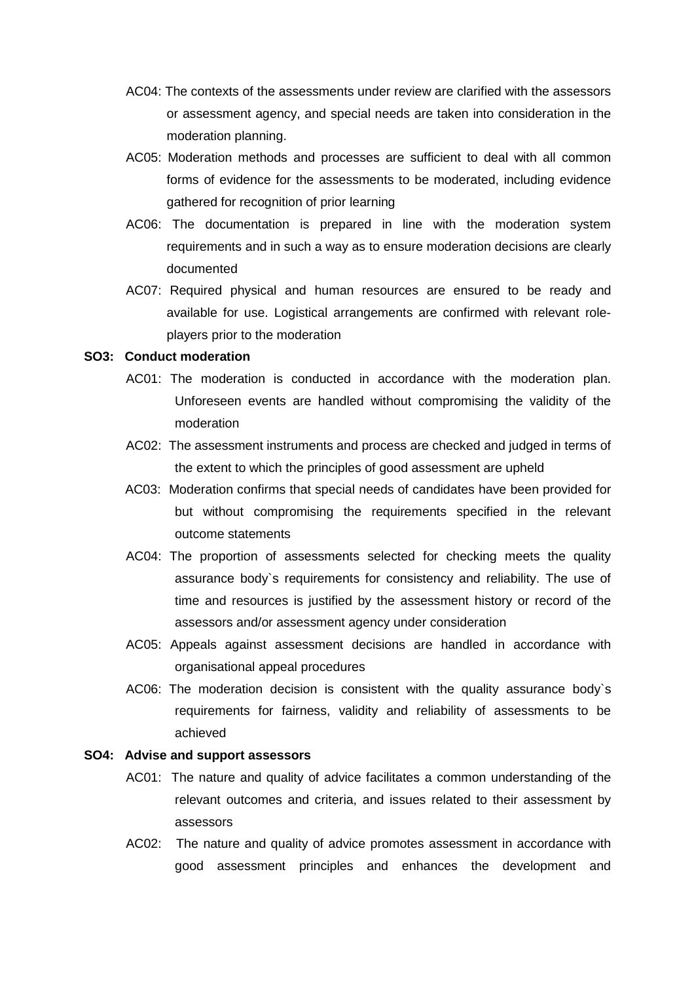- AC04: The contexts of the assessments under review are clarified with the assessors or assessment agency, and special needs are taken into consideration in the moderation planning.
- AC05: Moderation methods and processes are sufficient to deal with all common forms of evidence for the assessments to be moderated, including evidence gathered for recognition of prior learning
- AC06: The documentation is prepared in line with the moderation system requirements and in such a way as to ensure moderation decisions are clearly documented
- AC07: Required physical and human resources are ensured to be ready and available for use. Logistical arrangements are confirmed with relevant roleplayers prior to the moderation

### **SO3: Conduct moderation**

- AC01: The moderation is conducted in accordance with the moderation plan. Unforeseen events are handled without compromising the validity of the moderation
- AC02: The assessment instruments and process are checked and judged in terms of the extent to which the principles of good assessment are upheld
- AC03: Moderation confirms that special needs of candidates have been provided for but without compromising the requirements specified in the relevant outcome statements
- AC04: The proportion of assessments selected for checking meets the quality assurance body`s requirements for consistency and reliability. The use of time and resources is justified by the assessment history or record of the assessors and/or assessment agency under consideration
- AC05: Appeals against assessment decisions are handled in accordance with organisational appeal procedures
- AC06: The moderation decision is consistent with the quality assurance body`s requirements for fairness, validity and reliability of assessments to be achieved

#### **SO4: Advise and support assessors**

- AC01: The nature and quality of advice facilitates a common understanding of the relevant outcomes and criteria, and issues related to their assessment by assessors
- AC02: The nature and quality of advice promotes assessment in accordance with good assessment principles and enhances the development and